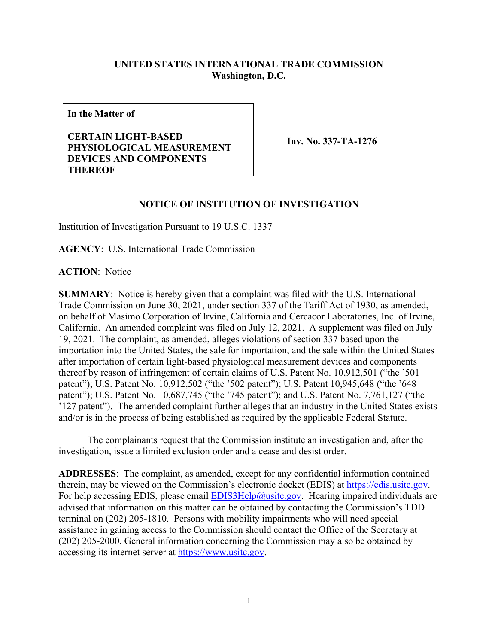## **UNITED STATES INTERNATIONAL TRADE COMMISSION Washington, D.C.**

**In the Matter of**

## **CERTAIN LIGHT-BASED PHYSIOLOGICAL MEASUREMENT DEVICES AND COMPONENTS THEREOF**

**Inv. No. 337-TA-1276**

## **NOTICE OF INSTITUTION OF INVESTIGATION**

Institution of Investigation Pursuant to 19 U.S.C. 1337

**AGENCY**: U.S. International Trade Commission

**ACTION**: Notice

**SUMMARY**: Notice is hereby given that a complaint was filed with the U.S. International Trade Commission on June 30, 2021, under section 337 of the Tariff Act of 1930, as amended, on behalf of Masimo Corporation of Irvine, California and Cercacor Laboratories, Inc. of Irvine, California. An amended complaint was filed on July 12, 2021. A supplement was filed on July 19, 2021. The complaint, as amended, alleges violations of section 337 based upon the importation into the United States, the sale for importation, and the sale within the United States after importation of certain light-based physiological measurement devices and components thereof by reason of infringement of certain claims of U.S. Patent No. 10,912,501 ("the '501 patent"); U.S. Patent No. 10,912,502 ("the '502 patent"); U.S. Patent 10,945,648 ("the '648 patent"); U.S. Patent No. 10,687,745 ("the '745 patent"); and U.S. Patent No. 7,761,127 ("the '127 patent"). The amended complaint further alleges that an industry in the United States exists and/or is in the process of being established as required by the applicable Federal Statute.

The complainants request that the Commission institute an investigation and, after the investigation, issue a limited exclusion order and a cease and desist order.

**ADDRESSES**: The complaint, as amended, except for any confidential information contained therein, may be viewed on the Commission's electronic docket (EDIS) at [https://edis.usitc.gov.](https://edis.usitc.gov/) For help accessing EDIS, please email **EDIS3Help@usitc.gov**. Hearing impaired individuals are advised that information on this matter can be obtained by contacting the Commission's TDD terminal on (202) 205-1810. Persons with mobility impairments who will need special assistance in gaining access to the Commission should contact the Office of the Secretary at (202) 205-2000. General information concerning the Commission may also be obtained by accessing its internet server at [https://www.usitc.gov.](https://www.usitc.gov/)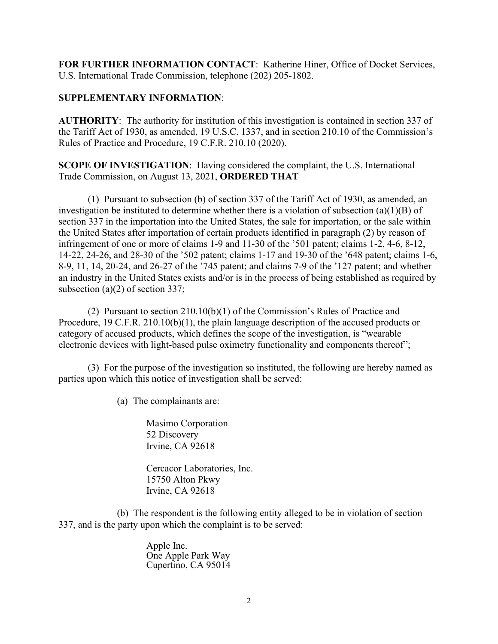**FOR FURTHER INFORMATION CONTACT**: Katherine Hiner, Office of Docket Services, U.S. International Trade Commission, telephone (202) 205-1802.

## **SUPPLEMENTARY INFORMATION**:

**AUTHORITY**: The authority for institution of this investigation is contained in section 337 of the Tariff Act of 1930, as amended, 19 U.S.C. 1337, and in section 210.10 of the Commission's Rules of Practice and Procedure, 19 C.F.R. 210.10 (2020).

**SCOPE OF INVESTIGATION**: Having considered the complaint, the U.S. International Trade Commission, on August 13, 2021, **ORDERED THAT** –

(1) Pursuant to subsection (b) of section 337 of the Tariff Act of 1930, as amended, an investigation be instituted to determine whether there is a violation of subsection (a)(1)(B) of section 337 in the importation into the United States, the sale for importation, or the sale within the United States after importation of certain products identified in paragraph (2) by reason of infringement of one or more of claims 1-9 and 11-30 of the '501 patent; claims 1-2, 4-6, 8-12, 14-22, 24-26, and 28-30 of the '502 patent; claims 1-17 and 19-30 of the '648 patent; claims 1-6, 8-9, 11, 14, 20-24, and 26-27 of the '745 patent; and claims 7-9 of the '127 patent; and whether an industry in the United States exists and/or is in the process of being established as required by subsection (a)(2) of section 337;

(2) Pursuant to section 210.10(b)(1) of the Commission's Rules of Practice and Procedure, 19 C.F.R. 210.10(b)(1), the plain language description of the accused products or category of accused products, which defines the scope of the investigation, is "wearable electronic devices with light-based pulse oximetry functionality and components thereof";

(3) For the purpose of the investigation so instituted, the following are hereby named as parties upon which this notice of investigation shall be served:

(a) The complainants are:

Masimo Corporation 52 Discovery Irvine, CA 92618

Cercacor Laboratories, Inc. 15750 Alton Pkwy Irvine, CA 92618

(b) The respondent is the following entity alleged to be in violation of section 337, and is the party upon which the complaint is to be served:

> Apple Inc. One Apple Park Way Cupertino, CA 95014